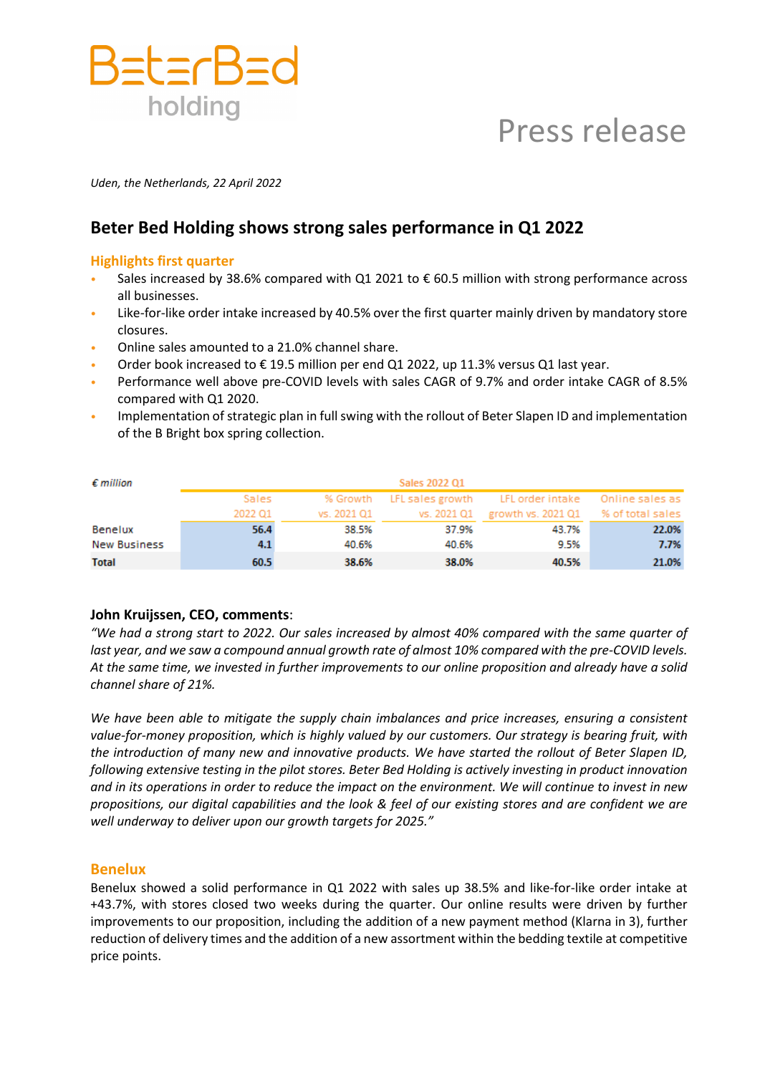

# Press release

*Uden, the Netherlands, 22 April 2022*

## **Beter Bed Holding shows strong sales performance in Q1 2022**

## **Highlights first quarter**

- Sales increased by 38.6% compared with Q1 2021 to  $\epsilon$  60.5 million with strong performance across all businesses.
- Like-for-like order intake increased by 40.5% over the first quarter mainly driven by mandatory store closures.
- Online sales amounted to a 21.0% channel share.
- Order book increased to  $\epsilon$  19.5 million per end Q1 2022, up 11.3% versus Q1 last year.
- Performance well above pre-COVID levels with sales CAGR of 9.7% and order intake CAGR of 8.5% compared with Q1 2020.
- Implementation of strategic plan in full swing with the rollout of Beter Slapen ID and implementation of the B Bright box spring collection.

| $\epsilon$ million  | Sales 2022 Q1 |             |             |                                            |                 |
|---------------------|---------------|-------------|-------------|--------------------------------------------|-----------------|
|                     | <b>Sales</b>  |             |             | % Growth LFL sales growth LFL order intake | Online sales as |
|                     | 2022 Q1       | vs. 2021 Q1 | vs. 2021 Q1 | growth vs. 2021 Q1 % of total sales        |                 |
| <b>Benelux</b>      | 56.4          | 38.5%       | 37.9%       | 43.7%                                      | 22.0%           |
| <b>New Business</b> | 4.1           | 40.6%       | 40.6%       | 9.5%                                       | 7.7%            |
| <b>Total</b>        | 60.5          | 38.6%       | 38.0%       | 40.5%                                      | 21.0%           |

## **John Kruijssen, CEO, comments**:

*"We had a strong start to 2022. Our sales increased by almost 40% compared with the same quarter of last year, and we saw a compound annual growth rate of almost 10% compared with the pre-COVID levels. At the same time, we invested in further improvements to our online proposition and already have a solid channel share of 21%.* 

*We have been able to mitigate the supply chain imbalances and price increases, ensuring a consistent value-for-money proposition, which is highly valued by our customers. Our strategy is bearing fruit, with the introduction of many new and innovative products. We have started the rollout of Beter Slapen ID, following extensive testing in the pilot stores. Beter Bed Holding is actively investing in product innovation and in its operations in order to reduce the impact on the environment. We will continue to invest in new propositions, our digital capabilities and the look & feel of our existing stores and are confident we are well underway to deliver upon our growth targets for 2025."*

## **Benelux**

Benelux showed a solid performance in Q1 2022 with sales up 38.5% and like-for-like order intake at +43.7%, with stores closed two weeks during the quarter. Our online results were driven by further improvements to our proposition, including the addition of a new payment method (Klarna in 3), further reduction of delivery times and the addition of a new assortment within the bedding textile at competitive price points.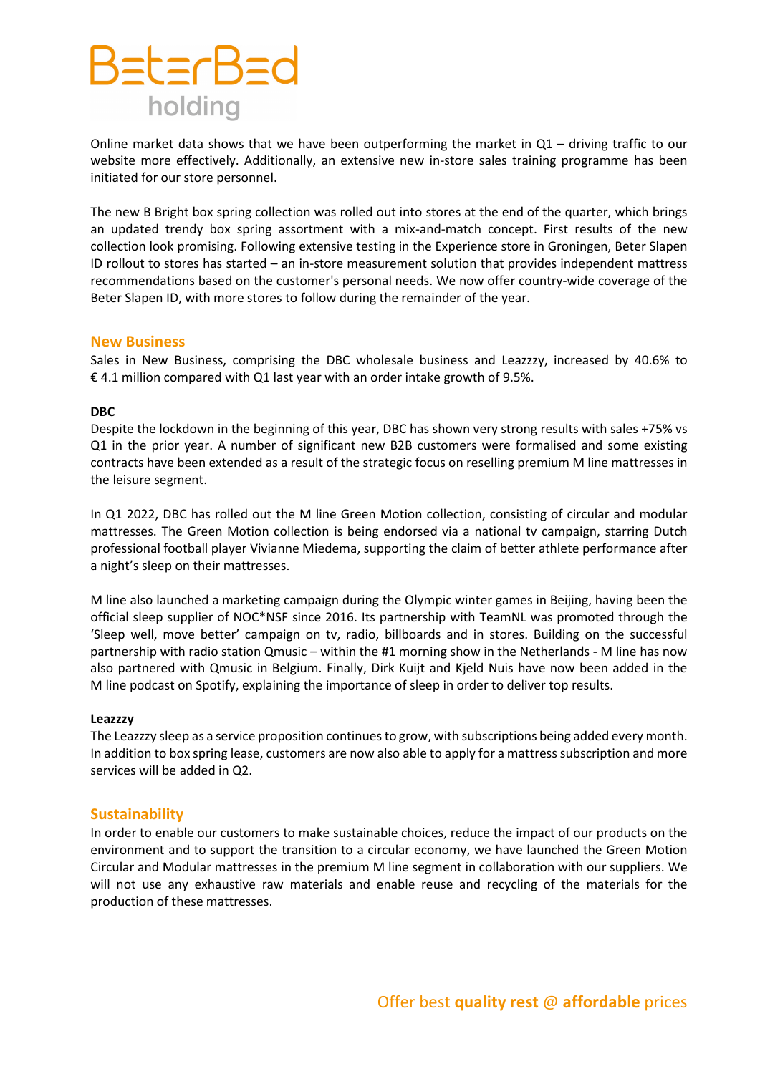

Online market data shows that we have been outperforming the market in  $Q1 -$  driving traffic to our website more effectively. Additionally, an extensive new in-store sales training programme has been initiated for our store personnel.

The new B Bright box spring collection was rolled out into stores at the end of the quarter, which brings an updated trendy box spring assortment with a mix-and-match concept. First results of the new collection look promising. Following extensive testing in the Experience store in Groningen, Beter Slapen ID rollout to stores has started – an in-store measurement solution that provides independent mattress recommendations based on the customer's personal needs. We now offer country-wide coverage of the Beter Slapen ID, with more stores to follow during the remainder of the year.

## **New Business**

Sales in New Business, comprising the DBC wholesale business and Leazzzy, increased by 40.6% to € 4.1 million compared with Q1 last year with an order intake growth of 9.5%.

#### **DBC**

Despite the lockdown in the beginning of this year, DBC has shown very strong results with sales +75% vs Q1 in the prior year. A number of significant new B2B customers were formalised and some existing contracts have been extended as a result of the strategic focus on reselling premium M line mattresses in the leisure segment.

In Q1 2022, DBC has rolled out the M line Green Motion collection, consisting of circular and modular mattresses. The Green Motion collection is being endorsed via a national tv campaign, starring Dutch professional football player Vivianne Miedema, supporting the claim of better athlete performance after a night's sleep on their mattresses.

M line also launched a marketing campaign during the Olympic winter games in Beijing, having been the official sleep supplier of NOC\*NSF since 2016. Its partnership with TeamNL was promoted through the 'Sleep well, move better' campaign on tv, radio, billboards and in stores. Building on the successful partnership with radio station Qmusic – within the #1 morning show in the Netherlands - M line has now also partnered with Qmusic in Belgium. Finally, Dirk Kuijt and Kjeld Nuis have now been added in the M line podcast on Spotify, explaining the importance of sleep in order to deliver top results.

#### **Leazzzy**

The Leazzzy sleep as a service proposition continues to grow, with subscriptions being added every month. In addition to box spring lease, customers are now also able to apply for a mattress subscription and more services will be added in Q2.

## **Sustainability**

In order to enable our customers to make sustainable choices, reduce the impact of our products on the environment and to support the transition to a circular economy, we have launched the Green Motion Circular and Modular mattresses in the premium M line segment in collaboration with our suppliers. We will not use any exhaustive raw materials and enable reuse and recycling of the materials for the production of these mattresses.